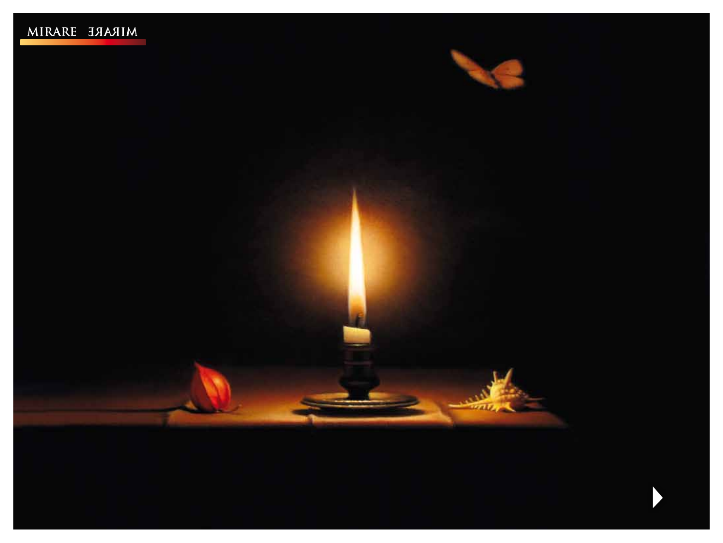



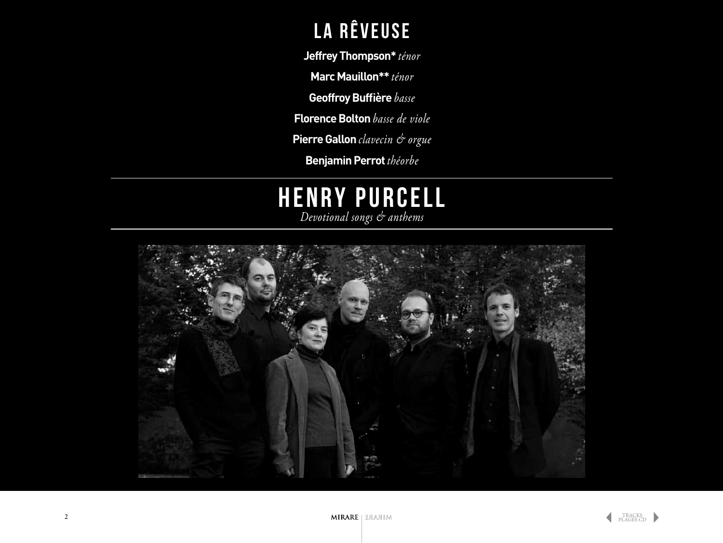### La rêveuse

**Jeffrey Thompson\*** *ténor*

**Marc Mauillon\*\*** *ténor*

**Geoffroy Buffière** *basse*

**Florence Bolton** *basse de viole*

**Pierre Gallon** *clavecin & orgue*

**Benjamin Perrot** *théorbe*

### **HENRY PURCE** *Devotional songs & anthems*

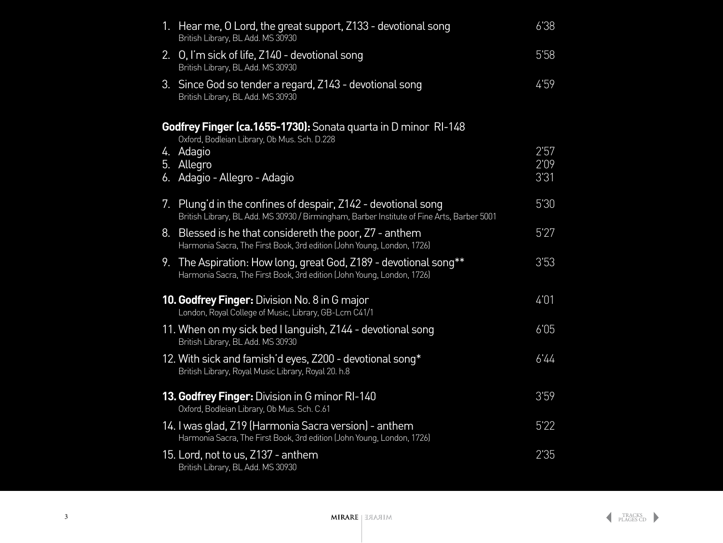<span id="page-2-0"></span>

| 1. Hear me, O Lord, the great support, Z133 - devotional song<br>British Library, BL Add. MS 30930                                         | 6'38 |
|--------------------------------------------------------------------------------------------------------------------------------------------|------|
| 2. O, I'm sick of life, Z140 - devotional song<br>British Library, BL Add. MS 30930                                                        | 5'58 |
| 3. Since God so tender a regard, Z143 - devotional song<br>British Library, BL Add. MS 30930                                               | 4'59 |
| Godfrey Finger (ca.1655-1730): Sonata quarta in D minor RI-148                                                                             |      |
| Oxford, Bodleian Library, Ob Mus. Sch. D.228<br>4. Adagio                                                                                  | 2'57 |
| 5. Allegro                                                                                                                                 | 2'09 |
| 6. Adagio - Allegro - Adagio                                                                                                               | 3'31 |
| 7. Plung'd in the confines of despair, Z142 - devotional song                                                                              | 5'30 |
| British Library, BL Add. MS 30930 / Birmingham, Barber Institute of Fine Arts, Barber 5001                                                 |      |
| 8. Blessed is he that considereth the poor, Z7 - anthem<br>Harmonia Sacra, The First Book, 3rd edition (John Young, London, 1726)          | 5'27 |
| 9. The Aspiration: How long, great God, Z189 - devotional song**<br>Harmonia Sacra, The First Book, 3rd edition (John Young, London, 1726) | 3'53 |
| <b>10. Godfrey Finger:</b> Division No. 8 in G major<br>London, Royal College of Music, Library, GB-Lcm C41/1                              | 4'01 |
| 11. When on my sick bed I languish, Z144 - devotional song<br>British Library, BL Add. MS 30930                                            | 6'05 |
| 12. With sick and famish'd eyes, Z200 - devotional song*<br>British Library, Royal Music Library, Royal 20. h.8                            | 6'44 |
| 13. Godfrey Finger: Division in G minor RI-140<br>Oxford, Bodleian Library, Ob Mus. Sch. C.61                                              | 3'59 |
| 14. I was glad, Z19 (Harmonia Sacra version) - anthem<br>Harmonia Sacra, The First Book, 3rd edition (John Young, London, 1726)            | 5'22 |
| 15. Lord, not to us, Z137 - anthem<br>British Library, BL Add. MS 30930                                                                    | 2'35 |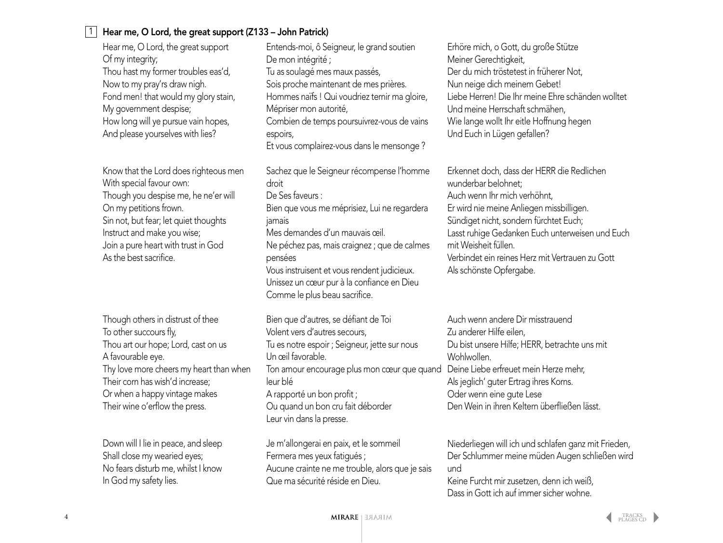#### Hear me, O Lord, the great support (Z133 – John Patrick)

Hear me, O Lord, the great support Of my integrity; Thou hast my former troubles eas'd, Now to my pray'rs draw nigh. Fond men! that would my glory stain, My government despise; How long will ye pursue vain hopes, And please yourselves with lies?

1

Know that the Lord does righteous men With special favour own: Though you despise me, he ne'er will On my petitions frown. Sin not, but fear; let quiet thoughts Instruct and make you wise; Join a pure heart with trust in God As the best sacrifice.

Though others in distrust of thee To other succours fly, Thou art our hope; Lord, cast on us A favourable eye. Thy love more cheers my heart than when Their corn has wish'd increase; Or when a happy vintage makes Their wine o'erflow the press.

Down will I lie in peace, and sleep Shall close my wearied eyes; No fears disturb me, whilst I know In God my safety lies.

Entends-moi, ô Seigneur, le grand soutien De mon intégrité ; Tu as soulagé mes maux passés, Sois proche maintenant de mes prières. Hommes naïfs ! Qui voudriez ternir ma gloire, Mépriser mon autorité, Combien de temps poursuivrez-vous de vains espoirs, Et vous complairez-vous dans le mensonge ? Sachez que le Seigneur récompense l'homme droit De Ses faveurs : Bien que vous me méprisiez, Lui ne regardera jamais Mes demandes d'un mauvais œil.

Ne péchez pas, mais craignez ; que de calmes pensées Vous instruisent et vous rendent judicieux. Unissez un cœur pur à la confiance en Dieu Comme le plus beau sacrifice.

Bien que d'autres, se défiant de Toi Volent vers d'autres secours, Tu es notre espoir ; Seigneur, jette sur nous Un œil favorable. Ton amour encourage plus mon cœur que quand Deine Liebe erfreuet mein Herze mehr, leur blé A rapporté un bon profit ; Ou quand un bon cru fait déborder Leur vin dans la presse.

Je m'allongerai en paix, et le sommeil Fermera mes yeux fatigués ; Aucune crainte ne me trouble, alors que je sais Que ma sécurité réside en Dieu.

Erhöre mich, o Gott, du große Stütze Meiner Gerechtigkeit, Der du mich tröstetest in früherer Not, Nun neige dich meinem Gebet! Liebe Herren! Die Ihr meine Ehre schänden wolltet Und meine Herrschaft schmähen, Wie lange wollt Ihr eitle Hoffnung hegen Und Euch in Lügen gefallen?

Erkennet doch, dass der HERR die Redlichen wunderbar belohnet; Auch wenn Ihr mich verhöhnt, Er wird nie meine Anliegen missbilligen. Sündiget nicht, sondern fürchtet Euch; Lasst ruhige Gedanken Euch unterweisen und Euch mit Weisheit füllen. Verbindet ein reines Herz mit Vertrauen zu Gott Als schönste Opfergabe.

Auch wenn andere Dir misstrauend Zu anderer Hilfe eilen, Du bist unsere Hilfe; HERR, betrachte uns mit Wohlwollen. Als jeglich' guter Ertrag ihres Korns. Oder wenn eine gute Lese Den Wein in ihren Keltern überfließen lässt.

Niederliegen will ich und schlafen ganz mit Frieden, Der Schlummer meine müden Augen schließen wird und

Keine Furcht mir zusetzen, denn ich weiß, Dass in Gott ich auf immer sicher wohne.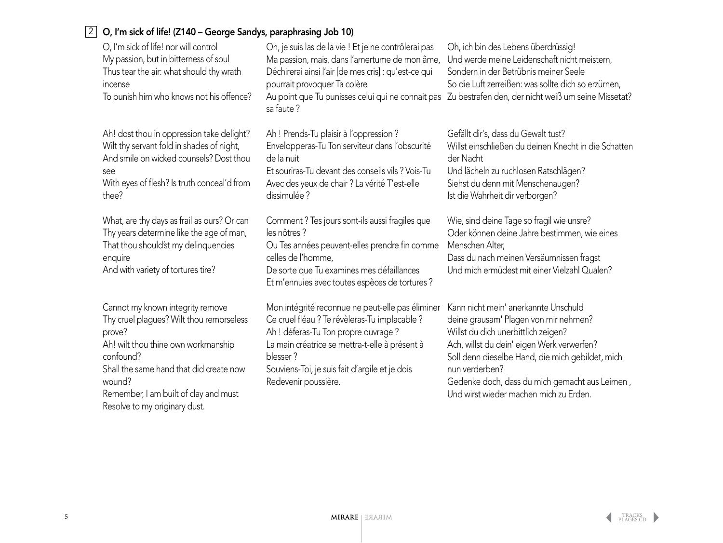### 2 O, I'm sick of life! (Z140 – George Sandys, paraphrasing Job 10)

| O, I'm sick of life! nor will control                                                                                                                                                                                                                                     | Oh, je suis las de la vie ! Et je ne contrôlerai pas                                                                                                                                                                                                                              | Oh, ich bin des Lebens überdrüssig!                                                                                                                                                                                                                                                                                                  |
|---------------------------------------------------------------------------------------------------------------------------------------------------------------------------------------------------------------------------------------------------------------------------|-----------------------------------------------------------------------------------------------------------------------------------------------------------------------------------------------------------------------------------------------------------------------------------|--------------------------------------------------------------------------------------------------------------------------------------------------------------------------------------------------------------------------------------------------------------------------------------------------------------------------------------|
| My passion, but in bitterness of soul                                                                                                                                                                                                                                     | Ma passion, mais, dans l'amertume de mon âme,                                                                                                                                                                                                                                     | Und werde meine Leidenschaft nicht meistern,                                                                                                                                                                                                                                                                                         |
| Thus tear the air: what should thy wrath                                                                                                                                                                                                                                  | Déchirerai ainsi l'air [de mes cris] : qu'est-ce qui                                                                                                                                                                                                                              | Sondern in der Betrübnis meiner Seele                                                                                                                                                                                                                                                                                                |
| incense                                                                                                                                                                                                                                                                   | pourrait provoquer Ta colère                                                                                                                                                                                                                                                      | So die Luft zerreißen: was sollte dich so erzürnen,                                                                                                                                                                                                                                                                                  |
| To punish him who knows not his offence?                                                                                                                                                                                                                                  | sa faute?                                                                                                                                                                                                                                                                         | Au point que Tu punisses celui qui ne connait pas Zu bestrafen den, der nicht weiß um seine Missetat?                                                                                                                                                                                                                                |
| Ah! dost thou in oppression take delight?                                                                                                                                                                                                                                 | Ah ! Prends-Tu plaisir à l'oppression ?                                                                                                                                                                                                                                           | Gefällt dir's, dass du Gewalt tust?                                                                                                                                                                                                                                                                                                  |
| Wilt thy servant fold in shades of night,                                                                                                                                                                                                                                 | Envelopperas-Tu Ton serviteur dans l'obscurité                                                                                                                                                                                                                                    | Willst einschließen du deinen Knecht in die Schatten                                                                                                                                                                                                                                                                                 |
| And smile on wicked counsels? Dost thou                                                                                                                                                                                                                                   | de la nuit                                                                                                                                                                                                                                                                        | der Nacht                                                                                                                                                                                                                                                                                                                            |
| see                                                                                                                                                                                                                                                                       | Et souriras-Tu devant des conseils vils ? Vois-Tu                                                                                                                                                                                                                                 | Und lächeln zu ruchlosen Ratschlägen?                                                                                                                                                                                                                                                                                                |
| With eyes of flesh? Is truth conceal'd from                                                                                                                                                                                                                               | Avec des yeux de chair ? La vérité T'est-elle                                                                                                                                                                                                                                     | Siehst du denn mit Menschenaugen?                                                                                                                                                                                                                                                                                                    |
| thee?                                                                                                                                                                                                                                                                     | dissimulée ?                                                                                                                                                                                                                                                                      | Ist die Wahrheit dir verborgen?                                                                                                                                                                                                                                                                                                      |
| What, are thy days as frail as ours? Or can<br>Thy years determine like the age of man,<br>That thou should'st my delinquencies<br>enquire<br>And with variety of tortures tire?                                                                                          | Comment ? Tes jours sont-ils aussi fragiles que<br>les nôtres?<br>Ou Tes années peuvent-elles prendre fin comme<br>celles de l'homme,<br>De sorte que Tu examines mes défaillances<br>Et m'ennuies avec toutes espèces de tortures ?                                              | Wie, sind deine Tage so fragil wie unsre?<br>Oder können deine Jahre bestimmen, wie eines<br>Menschen Alter,<br>Dass du nach meinen Versäumnissen fragst<br>Und mich ermüdest mit einer Vielzahl Qualen?                                                                                                                             |
| Cannot my known integrity remove<br>Thy cruel plagues? Wilt thou remorseless<br>prove?<br>Ah! wilt thou thine own workmanship<br>confound?<br>Shall the same hand that did create now<br>wound?<br>Remember, I am built of clay and must<br>Resolve to my originary dust. | Mon intégrité reconnue ne peut-elle pas éliminer<br>Ce cruel fléau ? Te révèleras-Tu implacable ?<br>Ah ! déferas-Tu Ton propre ouvrage ?<br>La main créatrice se mettra-t-elle à présent à<br>blesser?<br>Souviens-Toi, je suis fait d'argile et je dois<br>Redevenir poussière. | Kann nicht mein' anerkannte Unschuld<br>deine grausam' Plagen von mir nehmen?<br>Willst du dich unerbittlich zeigen?<br>Ach, willst du dein' eigen Werk verwerfen?<br>Soll denn dieselbe Hand, die mich gebildet, mich<br>nun verderben?<br>Gedenke doch, dass du mich gemacht aus Leimen,<br>Und wirst wieder machen mich zu Erden. |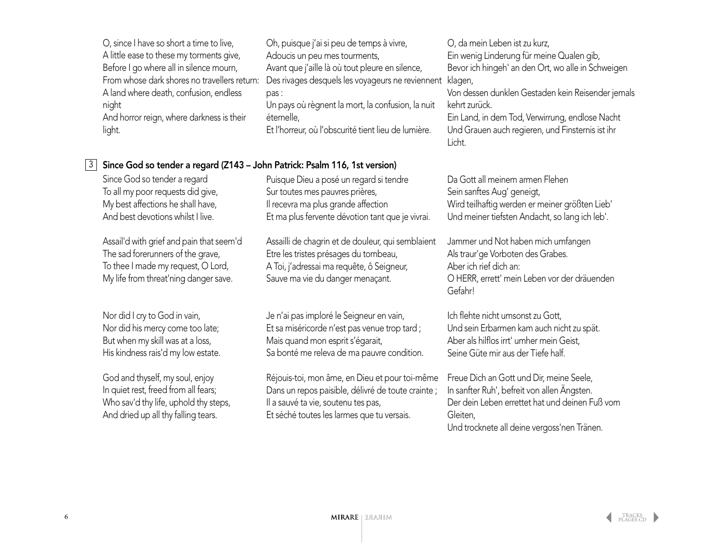|   | O, since I have so short a time to live,<br>A little ease to these my torments give,<br>Before I go where all in silence mourn,<br>From whose dark shores no travellers return:<br>A land where death, confusion, endless<br>night<br>And horror reign, where darkness is their<br>light.                   | Oh, puisque j'ai si peu de temps à vivre,<br>Adoucis un peu mes tourments,<br>Avant que j'aille là où tout pleure en silence,<br>Des rivages desquels les voyageurs ne reviennent<br>pas:<br>Un pays où règnent la mort, la confusion, la nuit<br>éternelle,<br>Et l'horreur, où l'obscurité tient lieu de lumière.                                  | O, da mein Leben ist zu kurz,<br>Ein wenig Linderung für meine Qualen gib,<br>Bevor ich hingeh' an den Ort, wo alle in Schweigen<br>klagen,<br>Von dessen dunklen Gestaden kein Reisender jemals<br>kehrt zurück.<br>Ein Land, in dem Tod, Verwirrung, endlose Nacht<br>Und Grauen auch regieren, und Finsternis ist ihr<br>Licht. |
|---|-------------------------------------------------------------------------------------------------------------------------------------------------------------------------------------------------------------------------------------------------------------------------------------------------------------|------------------------------------------------------------------------------------------------------------------------------------------------------------------------------------------------------------------------------------------------------------------------------------------------------------------------------------------------------|------------------------------------------------------------------------------------------------------------------------------------------------------------------------------------------------------------------------------------------------------------------------------------------------------------------------------------|
| 3 | Since God so tender a regard (Z143 - John Patrick: Psalm 116, 1st version)                                                                                                                                                                                                                                  |                                                                                                                                                                                                                                                                                                                                                      |                                                                                                                                                                                                                                                                                                                                    |
|   | Since God so tender a regard<br>To all my poor requests did give,<br>My best affections he shall have,<br>And best devotions whilst I live.<br>Assail'd with grief and pain that seem'd<br>The sad forerunners of the grave,<br>To thee I made my request, O Lord,<br>My life from threat'ning danger save. | Puisque Dieu a posé un regard si tendre<br>Sur toutes mes pauvres prières,<br>Il recevra ma plus grande affection<br>Et ma plus fervente dévotion tant que je vivrai.<br>Assailli de chagrin et de douleur, qui semblaient<br>Etre les tristes présages du tombeau,<br>A Toi, j'adressai ma requête, ô Seigneur,<br>Sauve ma vie du danger menaçant. | Da Gott all meinem armen Flehen<br>Sein sanftes Aug' geneigt,<br>Wird teilhaftig werden er meiner größten Lieb'<br>Und meiner tiefsten Andacht, so lang ich leb'.<br>Jammer und Not haben mich umfangen<br>Als traur'ge Vorboten des Grabes.<br>Aber ich rief dich an:<br>O HERR, errett' mein Leben vor der dräuenden<br>Gefahr!  |
|   | Nor did I cry to God in vain,<br>Nor did his mercy come too late;<br>But when my skill was at a loss,<br>His kindness rais'd my low estate.                                                                                                                                                                 | Je n'ai pas imploré le Seigneur en vain,<br>Et sa miséricorde n'est pas venue trop tard ;<br>Mais quand mon esprit s'égarait,<br>Sa bonté me releva de ma pauvre condition.                                                                                                                                                                          | Ich flehte nicht umsonst zu Gott,<br>Und sein Erbarmen kam auch nicht zu spät.<br>Aber als hilflos irrt' umher mein Geist,<br>Seine Güte mir aus der Tiefe half.                                                                                                                                                                   |
|   | God and thyself, my soul, enjoy                                                                                                                                                                                                                                                                             | Réjouis-toi, mon âme, en Dieu et pour toi-même                                                                                                                                                                                                                                                                                                       | Freue Dich an Gott und Dir, meine Seele,                                                                                                                                                                                                                                                                                           |

God and thyself, my soul, enjoy In quiet rest, freed from all fears; Who sav'd thy life, uphold thy steps, And dried up all thy falling tears.

Dans un repos paisible, délivré de toute crainte ; Il a sauvé ta vie, soutenu tes pas, Et séché toutes les larmes que tu versais.

In sanfter Ruh', befreit von allen Ängsten. Der dein Leben errettet hat und deinen Fuß vom Gleiten, Und trocknete all deine vergoss'nen Tränen.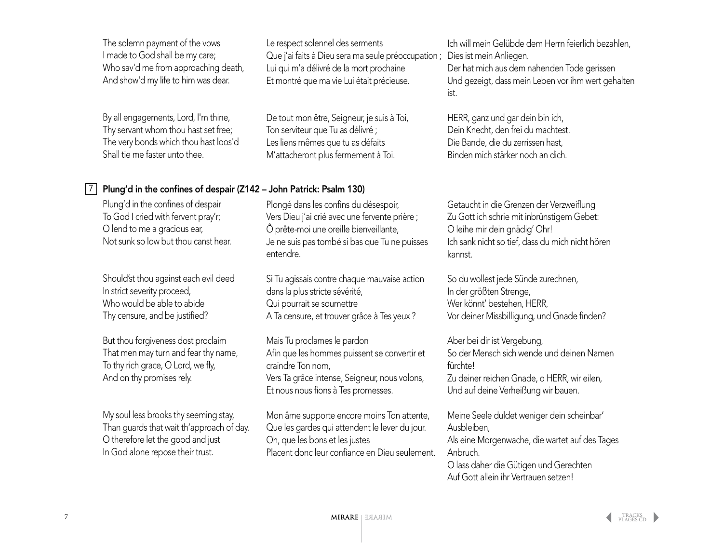The solemn payment of the vows I made to God shall be my care; Who sav'd me from approaching death, And show'd my life to him was dear. By all engagements, Lord, I'm thine, Thy servant whom thou hast set free; The very bonds which thou hast loos'd Shall tie me faster unto thee. Plung'd in the confines of despair To God I cried with fervent pray'r; O lend to me a gracious ear, Not sunk so low but thou canst hear. Should'st thou against each evil deed In strict severity proceed, Who would be able to abide Thy censure, and be justified? But thou forgiveness dost proclaim That men may turn and fear thy name, To thy rich grace, O Lord, we fly, And on thy promises rely. My soul less brooks thy seeming stay, Le respect solennel des serments Que j'ai faits à Dieu sera ma seule préoccupation ; Lui qui m'a délivré de la mort prochaine Et montré que ma vie Lui était précieuse. De tout mon être, Seigneur, je suis à Toi, Ton serviteur que Tu as délivré ; Les liens mêmes que tu as défaits M'attacheront plus fermement à Toi. Plongé dans les confins du désespoir, Vers Dieu j'ai crié avec une fervente prière ; Ô prête-moi une oreille bienveillante, Je ne suis pas tombé si bas que Tu ne puisses entendre. Si Tu agissais contre chaque mauvaise action dans la plus stricte sévérité, Qui pourrait se soumettre A Ta censure, et trouver grâce à Tes yeux ? Mais Tu proclames le pardon Afin que les hommes puissent se convertir et craindre Ton nom, Vers Ta grâce intense, Seigneur, nous volons, Et nous nous fions à Tes promesses. Mon âme supporte encore moins Ton attente, Ich will mein Gelübde dem Herrn feierlich bezahlen, Dies ist mein Anliegen. Der hat mich aus dem nahenden Tode gerissen Und gezeigt, dass mein Leben vor ihm wert gehalten ist. HERR, ganz und gar dein bin ich, Dein Knecht, den frei du machtest. Die Bande, die du zerrissen hast, Binden mich stärker noch an dich. Getaucht in die Grenzen der Verzweiflung Zu Gott ich schrie mit inbrünstigem Gebet: O leihe mir dein gnädig' Ohr! Ich sank nicht so tief, dass du mich nicht hören kannst. So du wollest jede Sünde zurechnen, In der größten Strenge, Wer könnt' bestehen, HERR, Vor deiner Missbilligung, und Gnade finden? Aber bei dir ist Vergebung, So der Mensch sich wende und deinen Namen fürchtel Zu deiner reichen Gnade, o HERR, wir eilen, Und auf deine Verheißung wir bauen. Meine Seele duldet weniger dein scheinbar' 7 Plung'd in the confines of despair (Z142 – John Patrick: Psalm 130)

Ausbleiben, Als eine Morgenwache, die wartet auf des Tages Anbruch. O lass daher die Gütigen und Gerechten

Auf Gott allein ihr Vertrauen setzen!

Que les gardes qui attendent le lever du jour.

Placent donc leur confiance en Dieu seulement.

Oh, que les bons et les justes

Than guards that wait th'approach of day.

O therefore let the good and just In God alone repose their trust.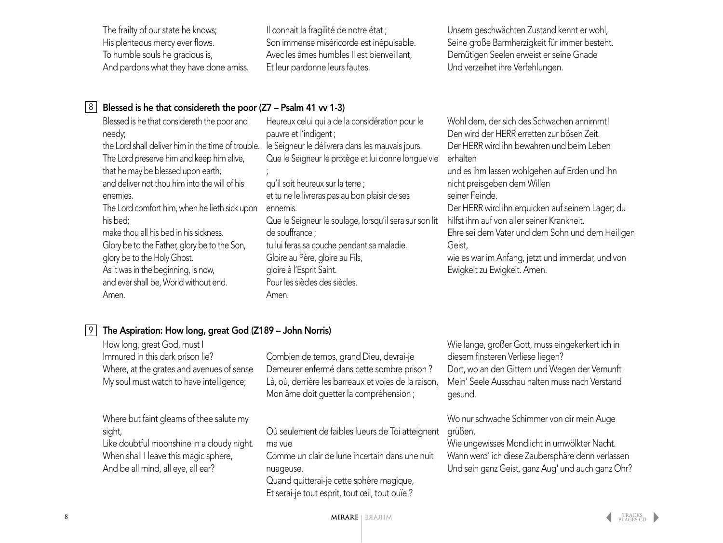The frailty of our state he knows; His plenteous mercy ever flows. To humble souls he gracious is, And pardons what they have done amiss. Il connait la fragilité de notre état ; Son immense miséricorde est inépuisable. Avec les âmes humbles Il est bienveillant, Et leur pardonne leurs fautes.

Unsern geschwächten Zustand kennt er wohl, Seine große Barmherzigkeit für immer besteht. Demütigen Seelen erweist er seine Gnade Und verzeihet ihre Verfehlungen.

#### 8 Blessed is he that considereth the poor (Z7 – Psalm 41 vv 1-3)

Blessed is he that considereth the poor and needy; the Lord shall deliver him in the time of trouble. le Seigneur le délivrera dans les mauvais jours. The Lord preserve him and keep him alive, that he may be blessed upon earth; and deliver not thou him into the will of his enemies. The Lord comfort him, when he lieth sick upon his bed; make thou all his bed in his sickness. Glory be to the Father, glory be to the Son, glory be to the Holy Ghost. As it was in the beginning, is now, and ever shall be, World without end. Amen. ;<br>, Amen.

Heureux celui qui a de la considération pour le pauvre et l'indigent ; Que le Seigneur le protège et lui donne longue vie qu'il soit heureux sur la terre ; et tu ne le livreras pas au bon plaisir de ses ennemis. Que le Seigneur le soulage, lorsqu'il sera sur son lit de souffrance ; tu lui feras sa couche pendant sa maladie. Gloire au Père, gloire au Fils, gloire à l'Esprit Saint. Pour les siècles des siècles.

Wohl dem, der sich des Schwachen annimmt! Den wird der HERR erretten zur bösen Zeit. Der HERR wird ihn bewahren und beim Leben erhalten

und es ihm lassen wohlgehen auf Erden und ihn nicht preisgeben dem Willen seiner Feinde.

Der HERR wird ihn erquicken auf seinem Lager; du hilfst ihm auf von aller seiner Krankheit.

Ehre sei dem Vater und dem Sohn und dem Heiligen Geist,

wie es war im Anfang, jetzt und immerdar, und von Ewigkeit zu Ewigkeit. Amen.

### The Aspiration: How long, great God (Z189 – John Norris)

| How long, great God, must I<br>Immured in this dark prison lie?<br>Where, at the grates and avenues of sense<br>My soul must watch to have intelligence;                        | Combien de temps, grand Dieu, devrai-je<br>Demeurer enfermé dans cette sombre prison?<br>Là, où, derrière les barreaux et voies de la raison,<br>Mon âme doit guetter la compréhension;                                | Wie lange, großer Gott, muss eingekerkert ich in<br>diesem finsteren Verliese liegen?<br>Dort, wo an den Gittern und Wegen der Vernunft<br>Mein' Seele Ausschau halten muss nach Verstand<br>gesund.           |
|---------------------------------------------------------------------------------------------------------------------------------------------------------------------------------|------------------------------------------------------------------------------------------------------------------------------------------------------------------------------------------------------------------------|----------------------------------------------------------------------------------------------------------------------------------------------------------------------------------------------------------------|
| Where but faint gleams of thee salute my<br>sight,<br>Like doubtful moonshine in a cloudy night.<br>When shall I leave this magic sphere,<br>And be all mind, all eye, all ear? | Où seulement de faibles lueurs de Toi atteignent<br>ma vue<br>Comme un clair de lune incertain dans une nuit<br>nuageuse.<br>Quand quitterai-je cette sphère magique,<br>Et serai-je tout esprit, tout œil, tout ouïe? | Wo nur schwache Schimmer von dir mein Auge<br>grüßen,<br>Wie ungewisses Mondlicht in umwölkter Nacht.<br>Wann werd' ich diese Zaubersphäre denn verlassen<br>Und sein ganz Geist, ganz Aug' und auch ganz Ohr? |

9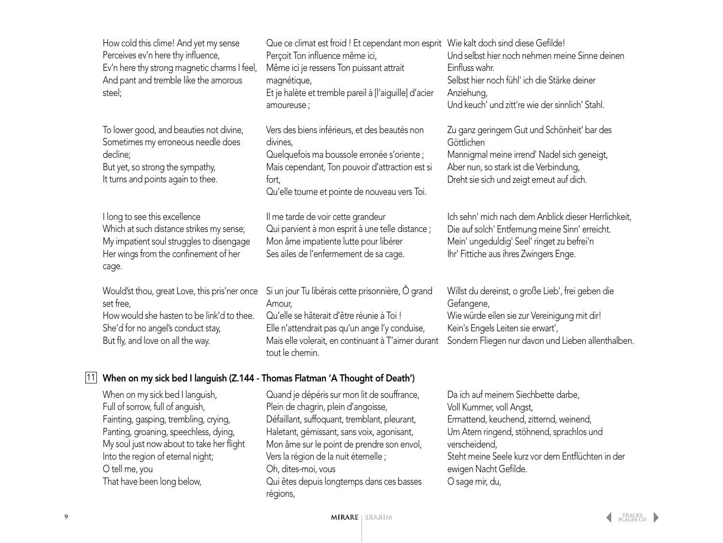|    | How cold this clime! And yet my sense<br>Perceives ev'n here thy influence,<br>Ev'n here thy strong magnetic charms I feel,<br>And pant and tremble like the amorous<br>steel;                                                                                                          | Que ce climat est froid ! Et cependant mon esprit Wie kalt doch sind diese Gefilde!<br>Perçoit Ton influence même ici,<br>Même ici je ressens Ton puissant attrait<br>magnétique,<br>Et je halète et tremble pareil à [l'aiguille] d'acier<br>amoureuse;                                                                                                | Und selbst hier noch nehmen meine Sinne deinen<br>Einfluss wahr.<br>Selbst hier noch fühl' ich die Stärke deiner<br>Anziehung,<br>Und keuch' und zitt're wie der sinnlich' Stahl.                                                                                        |
|----|-----------------------------------------------------------------------------------------------------------------------------------------------------------------------------------------------------------------------------------------------------------------------------------------|---------------------------------------------------------------------------------------------------------------------------------------------------------------------------------------------------------------------------------------------------------------------------------------------------------------------------------------------------------|--------------------------------------------------------------------------------------------------------------------------------------------------------------------------------------------------------------------------------------------------------------------------|
|    | To lower good, and beauties not divine,<br>Sometimes my erroneous needle does<br>decline;<br>But yet, so strong the sympathy,<br>It turns and points again to thee.                                                                                                                     | Vers des biens inférieurs, et des beautés non<br>divines,<br>Quelquefois ma boussole erronée s'oriente ;<br>Mais cependant, Ton pouvoir d'attraction est si<br>fort,<br>Qu'elle tourne et pointe de nouveau vers Toi.                                                                                                                                   | Zu ganz geringem Gut und Schönheit' bar des<br>Göttlichen<br>Mannigmal meine irrend' Nadel sich geneigt,<br>Aber nun, so stark ist die Verbindung,<br>Dreht sie sich und zeigt erneut auf dich.                                                                          |
|    | I long to see this excellence<br>Which at such distance strikes my sense;<br>My impatient soul struggles to disengage<br>Her wings from the confinement of her<br>cage.                                                                                                                 | Il me tarde de voir cette grandeur<br>Qui parvient à mon esprit à une telle distance ;<br>Mon âme impatiente lutte pour libérer<br>Ses ailes de l'enfermement de sa cage.                                                                                                                                                                               | Ich sehn' mich nach dem Anblick dieser Herrlichkeit,<br>Die auf solch' Entfernung meine Sinn' erreicht.<br>Mein' ungeduldig' Seel' ringet zu befrei'n<br>Ihr' Fittiche aus ihres Zwingers Enge.                                                                          |
|    | Would'st thou, great Love, this pris'ner once<br>set free,<br>How would she hasten to be link'd to thee.<br>She'd for no angel's conduct stay,<br>But fly, and love on all the way.                                                                                                     | Si un jour Tu libérais cette prisonnière, Ô grand<br>Amour,<br>Qu'elle se hâterait d'être réunie à Toi !<br>Elle n'attendrait pas qu'un ange l'y conduise,<br>Mais elle volerait, en continuant à T'aimer durant<br>tout le chemin.                                                                                                                     | Willst du dereinst, o große Lieb', frei geben die<br>Gefangene,<br>Wie würde eilen sie zur Vereinigung mit dir!<br>Kein's Engels Leiten sie erwart',<br>Sondern Fliegen nur davon und Lieben allenthalben.                                                               |
| 11 | When on my sick bed I languish (Z.144 - Thomas Flatman 'A Thought of Death')                                                                                                                                                                                                            |                                                                                                                                                                                                                                                                                                                                                         |                                                                                                                                                                                                                                                                          |
|    | When on my sick bed I languish,<br>Full of sorrow, full of anguish,<br>Fainting, gasping, trembling, crying,<br>Panting, groaning, speechless, dying,<br>My soul just now about to take her flight<br>Into the region of eternal night;<br>O tell me, you<br>That have been long below, | Quand je dépéris sur mon lit de souffrance,<br>Plein de chagrin, plein d'angoisse,<br>Défaillant, suffoquant, tremblant, pleurant,<br>Haletant, gémissant, sans voix, agonisant,<br>Mon âme sur le point de prendre son envol,<br>Vers la région de la nuit éternelle ;<br>Oh, dites-moi, vous<br>Qui êtes depuis longtemps dans ces basses<br>régions, | Da ich auf meinem Siechbette darbe,<br>Voll Kummer, voll Angst,<br>Ermattend, keuchend, zitternd, weinend,<br>Um Atem ringend, stöhnend, sprachlos und<br>verscheidend,<br>Steht meine Seele kurz vor dem Entflüchten in der<br>ewigen Nacht Gefilde.<br>O sage mir, du, |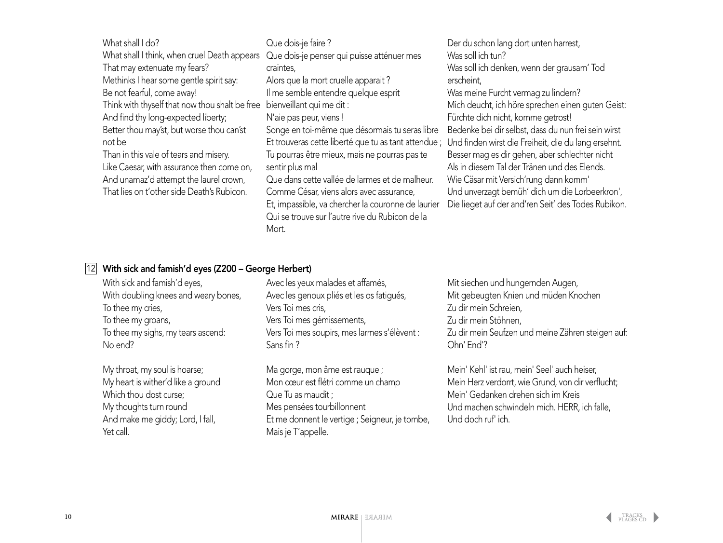| What shall I do?                               | Que dois-je faire ?                                  |
|------------------------------------------------|------------------------------------------------------|
| What shall I think, when cruel Death appears   | Que dois-je penser qui puisse atténuer mes           |
| That may extenuate my fears?                   | craintes,                                            |
| Methinks I hear some gentle spirit say:        | Alors que la mort cruelle apparait?                  |
| Be not fearful, come away!                     | Il me semble entendre quelque esprit                 |
| Think with thyself that now thou shalt be free | bienveillant qui me dit :                            |
| And find thy long-expected liberty;            | N'aie pas peur, viens !                              |
| Better thou may'st, but worse thou can'st      | Songe en toi-même que désormais tu seras libre       |
| not be                                         | Et trouveras cette liberté que tu as tant attendue ; |
| Than in this vale of tears and misery.         | Tu pourras être mieux, mais ne pourras pas te        |
| Like Caesar, with assurance then come on,      | sentir plus mal                                      |
| And unamaz'd attempt the laurel crown,         | Que dans cette vallée de larmes et de malheur.       |
| That lies on t'other side Death's Rubicon.     | Comme César, viens alors avec assurance,             |
|                                                | Et, impassible, va chercher la couronne de laurier   |
|                                                | Qui se trouve sur l'autre rive du Rubicon de la      |
|                                                | Mort.                                                |

Der du schon lang dort unten harrest, Was soll ich tun? Was soll ich denken, wenn der grausam' Tod erscheint, Was meine Furcht vermag zu lindern? Mich deucht, ich höre sprechen einen guten Geist: Fürchte dich nicht, komme getrost! Bedenke bei dir selbst, dass du nun frei sein wirst ue ; Und finden wirst die Freiheit, die du lang ersehnt. Besser mag es dir gehen, aber schlechter nicht Als in diesem Tal der Tränen und des Elends. Wie Cäsar mit Versich'rung dann komm' Und unverzagt bemüh' dich um die Lorbeerkron', Die lieget auf der and'ren Seit' des Todes Rubikon.

#### | $12$ | With sick and famish'd eyes (Z200 – George Herbert)

With sick and famish'd eyes, With doubling knees and weary bones, To thee my cries, To thee my groans, To thee my sighs, my tears ascend: No end?

My throat, my soul is hoarse; My heart is wither'd like a ground Which thou dost curse: My thoughts turn round And make me giddy; Lord, I fall, Yet call.

Avec les yeux malades et affamés, Avec les genoux pliés et les os fatigués, Vers Toi mes cris, Vers Toi mes gémissements, Vers Toi mes soupirs, mes larmes s'élèvent : Sans fin ?

Ma gorge, mon âme est rauque ; Mon cœur est flétri comme un champ Que Tu as maudit ; Mes pensées tourbillonnent Et me donnent le vertige ; Seigneur, je tombe, Mais je T'appelle.

Mit siechen und hungernden Augen, Mit gebeugten Knien und müden Knochen Zu dir mein Schreien, Zu dir mein Stöhnen, Zu dir mein Seufzen und meine Zähren steigen auf: Ohn' End'?

Mein' Kehl' ist rau, mein' Seel' auch heiser, Mein Herz verdorrt, wie Grund, von dir verflucht; Mein' Gedanken drehen sich im Kreis Und machen schwindeln mich. HERR, ich falle, Und doch ruf' ich.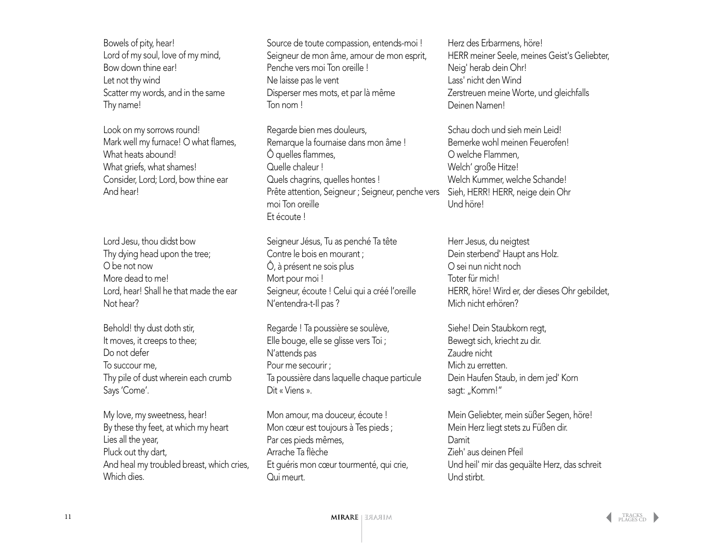Bowels of pity, hear! Lord of my soul, love of my mind, Bow down thine ear! Let not thy wind Scatter my words, and in the same Thy name!

Look on my sorrows round! Mark well my furnace! O what flames, What heats abound! What griefs, what shames! Consider, Lord; Lord, bow thine ear And hear!

Lord Jesu, thou didst bow Thy dying head upon the tree; O be not now More dead to me! Lord, hear! Shall he that made the ear Not hear?

Behold! thy dust doth stir, It moves, it creeps to thee; Do not defer To succour me, Thy pile of dust wherein each crumb Says 'Come'.

My love, my sweetness, hear! By these thy feet, at which my heart Lies all the year, Pluck out thy dart, And heal my troubled breast, which cries, Which dies.

Source de toute compassion, entends-moi ! Seigneur de mon âme, amour de mon esprit, Penche vers moi Ton oreille ! Ne laisse pas le vent Disperser mes mots, et par là même Ton nom !

Regarde bien mes douleurs, Remarque la fournaise dans mon âme ! Ô quelles flammes, Quelle chaleur ! Quels chagrins, quelles hontes ! Prête attention, Seigneur ; Seigneur, penche vers moi Ton oreille Et écoute !

Seigneur Jésus, Tu as penché Ta tête Contre le bois en mourant ; Ô, à présent ne sois plus Mort pour moi ! Seigneur, écoute ! Celui qui a créé l'oreille N'entendra-t-Il pas ?

Regarde ! Ta poussière se soulève, Elle bouge, elle se glisse vers Toi ; N'attends pas Pour me secourir ; Ta poussière dans laquelle chaque particule Dit « Viens ».

Mon amour, ma douceur, écoute ! Mon cœur est toujours à Tes pieds ; Par ces pieds mêmes, Arrache Ta flèche Et guéris mon cœur tourmenté, qui crie, Qui meurt.

Herz des Erbarmens, höre! HERR meiner Seele, meines Geist's Geliebter, Neig' herab dein Ohr! Lass' nicht den Wind Zerstreuen meine Worte, und gleichfalls Deinen Namen!

Schau doch und sieh mein Leid! Bemerke wohl meinen Feuerofen! O welche Flammen, Welch' große Hitze! Welch Kummer, welche Schande! Sieh, HERR! HERR, neige dein Ohr Und höre!

Herr Jesus, du neigtest Dein sterbend' Haupt ans Holz. O sei nun nicht noch Toter für mich! HERR, höre! Wird er, der dieses Ohr gebildet, Mich nicht erhören?

Siehe! Dein Staubkorn regt, Bewegt sich, kriecht zu dir. Zaudre nicht Mich zu erretten. Dein Haufen Staub, in dem jed' Korn sagt: "Komm!"

Mein Geliebter, mein süßer Segen, höre! Mein Herz liegt stets zu Füßen dir. Damit Zieh' aus deinen Pfeil Und heil' mir das gequälte Herz, das schreit Und stirbt.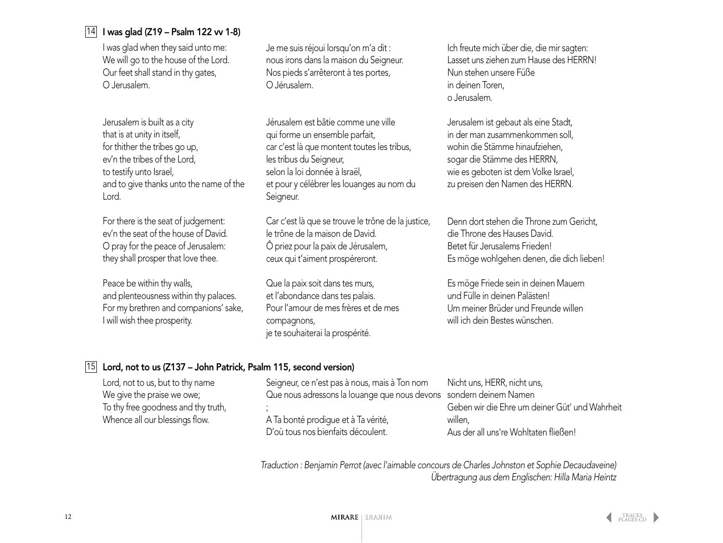### 14 I was glad (Z19 – Psalm 122 vv 1-8)

I was glad when they said unto me: We will go to the house of the Lord. Our feet shall stand in thy gates, O Jerusalem.

Jerusalem is built as a city that is at unity in itself, for thither the tribes go up, ev'n the tribes of the Lord, to testify unto Israel, and to give thanks unto the name of the Lord.

For there is the seat of judgement: ev'n the seat of the house of David. O pray for the peace of Jerusalem: they shall prosper that love thee.

Peace be within thy walls, and plenteousness within thy palaces. For my brethren and companions' sake, I will wish thee prosperity.

Je me suis réjoui lorsqu'on m'a dit : nous irons dans la maison du Seigneur. Nos pieds s'arrêteront à tes portes, O Jérusalem.

Jérusalem est bâtie comme une ville qui forme un ensemble parfait, car c'est là que montent toutes les tribus, les tribus du Seigneur, selon la loi donnée à Israël, et pour y célébrer les louanges au nom du Seigneur.

Car c'est là que se trouve le trône de la justice, le trône de la maison de David. Ô priez pour la paix de Jérusalem, ceux qui t'aiment prospéreront.

Que la paix soit dans tes murs, et l'abondance dans tes palais. Pour l'amour de mes frères et de mes compagnons, je te souhaiterai la prospérité.

Ich freute mich über die, die mir sagten: Lasset uns ziehen zum Hause des HERRN! Nun stehen unsere Füße in deinen Toren, o Jerusalem.

Jerusalem ist gebaut als eine Stadt, in der man zusammenkommen soll, wohin die Stämme hinaufziehen, sogar die Stämme des HERRN, wie es geboten ist dem Volke Israel, zu preisen den Namen des HERRN.

Denn dort stehen die Throne zum Gericht, die Throne des Hauses David. Betet für Jerusalems Frieden! Es möge wohlgehen denen, die dich lieben!

Es möge Friede sein in deinen Mauern und Fülle in deinen Palästen! Um meiner Brüder und Freunde willen will ich dein Bestes wünschen.

#### | $15$ | Lord, not to us (Z137 – John Patrick, Psalm 115, second version)

| Lord, not to us, but to thy name    | Seigneur, ce n'est pas à nous, mais à Ton nom                      | Nicht uns, HERR, nicht uns,                    |
|-------------------------------------|--------------------------------------------------------------------|------------------------------------------------|
| We give the praise we owe;          | Que nous adressons la louange que nous devons sondern deinem Namen |                                                |
| To thy free goodness and thy truth, |                                                                    | Geben wir die Ehre um deiner Güt' und Wahrheit |
| Whence all our blessings flow.      | A Ta bonté prodique et à Ta vérité,                                | willen,                                        |
|                                     | D'où tous nos bienfaits découlent.                                 | Aus der all uns're Wohltaten fließen!          |

*Traduction : Benjamin Perrot (avec l'aimable concours de Charles Johnston et Sophie Decaudaveine) Übertragung aus dem Englischen: Hilla Maria Heintz*

TRACKS<br>[PLAGES CD](#page-2-0)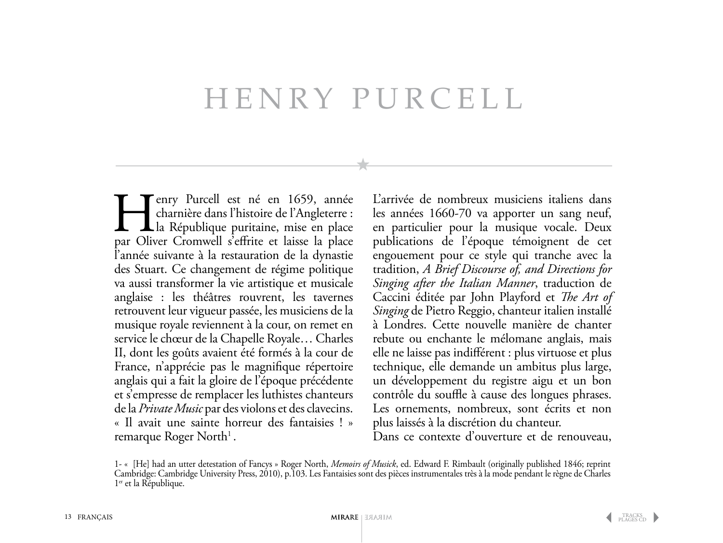## Henry Purcell

**Henry Purcell est né en 1659, année charnière dans l'histoire de l'Angleterre :**<br>La République puritaine, mise en place par Oliver Cromwell s'effrite et laisse la place charnière dans l'histoire de l'Angleterre : Lla République puritaine, mise en place par Oliver Cromwell s'effrite et laisse la place l'année suivante à la restauration de la dynastie des Stuart. Ce changement de régime politique va aussi transformer la vie artistique et musicale anglaise : les théâtres rouvrent, les tavernes retrouvent leur vigueur passée, les musiciens de la musique royale reviennent à la cour, on remet en service le chœur de la Chapelle Royale… Charles II, dont les goûts avaient été formés à la cour de France, n'apprécie pas le magnifique répertoire anglais qui a fait la gloire de l'époque précédente et s'empresse de remplacer les luthistes chanteurs de la *Private Music* par des violons et des clavecins. « Il avait une sainte horreur des fantaisies ! » remarque Roger North<sup>1</sup>.

L'arrivée de nombreux musiciens italiens dans les années 1660-70 va apporter un sang neuf, en particulier pour la musique vocale. Deux publications de l'époque témoignent de cet engouement pour ce style qui tranche avec la tradition, *A Brief Discourse of, and Directions for Singing after the Italian Manner*, traduction de Caccini éditée par John Playford et *The Art of Singing* de Pietro Reggio, chanteur italien installé à Londres. Cette nouvelle manière de chanter rebute ou enchante le mélomane anglais, mais elle ne laisse pas indifférent : plus virtuose et plus technique, elle demande un ambitus plus large, un développement du registre aigu et un bon contrôle du souffle à cause des longues phrases. Les ornements, nombreux, sont écrits et non plus laissés à la discrétion du chanteur.

Dans ce contexte d'ouverture et de renouveau,

<sup>1- « [</sup>He] had an utter detestation of Fancys » Roger North, *Memoirs of Musick*, ed. Edward F. Rimbault (originally published 1846; reprint Cambridge: Cambridge University Press, 2010), p.103. Les Fantaisies sont des pièces instrumentales très à la mode pendant le règne de Charles 1<sup>er</sup> et la République.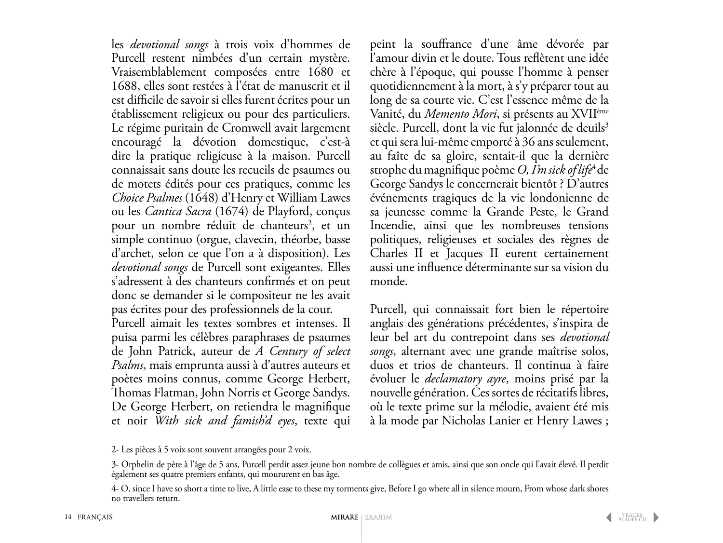les *devotional songs* à trois voix d'hommes de Purcell restent nimbées d'un certain mystère. Vraisemblablement composées entre 1680 et 1688, elles sont restées à l'état de manuscrit et il est difficile de savoir si elles furent écrites pour un établissement religieux ou pour des particuliers. Le régime puritain de Cromwell avait largement encouragé la dévotion domestique, c'est-à dire la pratique religieuse à la maison. Purcell connaissait sans doute les recueils de psaumes ou de motets édités pour ces pratiques, comme les *Choice Psalmes* (1648) d'Henry et William Lawes ou les *Cantica Sacra* (1674) de Playford, conçus pour un nombre réduit de chanteurs<sup>2</sup>, et un simple continuo (orgue, clavecin, théorbe, basse d'archet, selon ce que l'on a à disposition). Les *devotional songs* de Purcell sont exigeantes. Elles s'adressent à des chanteurs confirmés et on peut donc se demander si le compositeur ne les avait pas écrites pour des professionnels de la cour. Purcell aimait les textes sombres et intenses. Il puisa parmi les célèbres paraphrases de psaumes de John Patrick, auteur de *A Century of select Psalms*, mais emprunta aussi à d'autres auteurs et poètes moins connus, comme George Herbert, Thomas Flatman, John Norris et George Sandys. De George Herbert, on retiendra le magnifique

peint la souffrance d'une âme dévorée par l'amour divin et le doute. Tous reflètent une idée chère à l'époque, qui pousse l'homme à penser quotidiennement à la mort, à s'y préparer tout au long de sa courte vie. C'est l'essence même de la Vanité, du *Memento Mori*, si présents au XVIIème siècle. Purcell, dont la vie fut jalonnée de deuils<sup>3</sup> et qui sera lui-même emporté à 36 ans seulement, au faîte de sa gloire, sentait-il que la dernière strophe du magnifique poème *O, I'm sick of life*4 de George Sandys le concernerait bientôt ? D'autres événements tragiques de la vie londonienne de sa jeunesse comme la Grande Peste, le Grand Incendie, ainsi que les nombreuses tensions politiques, religieuses et sociales des règnes de Charles II et Jacques II eurent certainement aussi une influence déterminante sur sa vision du monde.

Purcell, qui connaissait fort bien le répertoire anglais des générations précédentes, s'inspira de leur bel art du contrepoint dans ses *devotional songs*, alternant avec une grande maîtrise solos, duos et trios de chanteurs. Il continua à faire évoluer le *declamatory ayre*, moins prisé par la nouvelle génération. Ces sortes de récitatifs libres, où le texte prime sur la mélodie, avaient été mis à la mode par Nicholas Lanier et Henry Lawes ;

et noir *With sick and famish'd eyes*, texte qui

<sup>2-</sup> Les pièces à 5 voix sont souvent arrangées pour 2 voix.

<sup>3-</sup> Orphelin de père à l'âge de 5 ans, Purcell perdit assez jeune bon nombre de collègues et amis, ainsi que son oncle qui l'avait élevé. Il perdit également ses quatre premiers enfants, qui moururent en bas âge.

<sup>4-</sup> O, since I have so short a time to live, A little ease to these my torments give, Before I go where all in silence mourn, From whose dark shores no travellers return.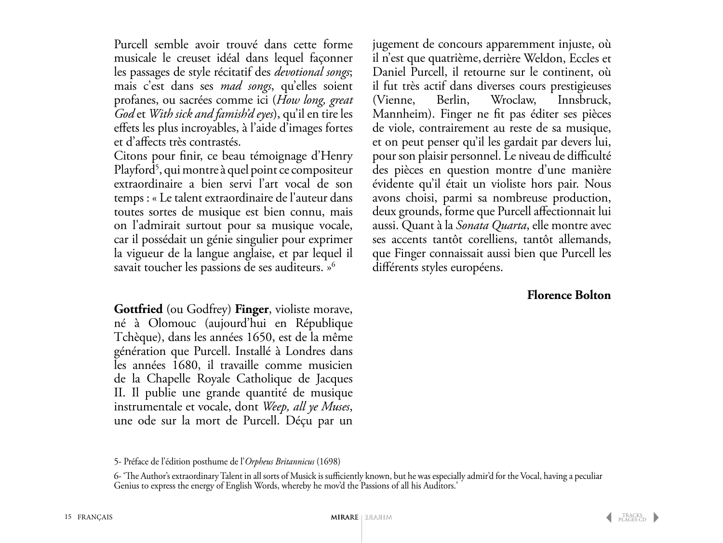Purcell semble avoir trouvé dans cette forme musicale le creuset idéal dans lequel façonner les passages de style récitatif des *devotional songs*; mais c'est dans ses *mad songs*, qu'elles soient profanes, ou sacrées comme ici (*How long, great God* et *With sick and famish'd eyes*), qu'il en tire les effets les plus incroyables, à l'aide d'images fortes et d'affects très contrastés.

Citons pour finir, ce beau témoignage d'Henry Playford5 , qui montre à quel point ce compositeur extraordinaire a bien servi l'art vocal de son temps : « Le talent extraordinaire de l'auteur dans toutes sortes de musique est bien connu, mais on l'admirait surtout pour sa musique vocale, car il possédait un génie singulier pour exprimer la vigueur de la langue anglaise, et par lequel il savait toucher les passions de ses auditeurs. »<sup>6</sup>

**Gottfried** (ou Godfrey) **Finger**, violiste morave, né à Olomouc (aujourd'hui en République Tchèque), dans les années 1650, est de la même génération que Purcell. Installé à Londres dans les années 1680, il travaille comme musicien de la Chapelle Royale Catholique de Jacques II. Il publie une grande quantité de musique instrumentale et vocale, dont *Weep, all ye Muses*, une ode sur la mort de Purcell. Déçu par un

jugement de concours apparemment injuste, où il n'est que quatrième, derrière Weldon, Eccles et Daniel Purcell, il retourne sur le continent, où il fut très actif dans diverses cours prestigieuses (Vienne, Berlin, Wroclaw, Innsbruck, Mannheim). Finger ne fit pas éditer ses pièces de viole, contrairement au reste de sa musique, et on peut penser qu'il les gardait par devers lui, pour son plaisir personnel. Le niveau de difficulté des pièces en question montre d'une manière évidente qu'il était un violiste hors pair. Nous avons choisi, parmi sa nombreuse production, deux grounds, forme que Purcell affectionnait lui aussi. Quant à la *Sonata Quarta*, elle montre avec ses accents tantôt corelliens, tantôt allemands, que Finger connaissait aussi bien que Purcell les différents styles européens.

### **Florence Bolton**

6- 'The Author's extraordinary Talent in all sorts of Musick is sufficiently known, but he was especially admir'd for the Vocal, having a peculiar Genius to express the energy of English Words, whereby he mov'd the Passions of all his Auditors.'

<sup>5-</sup> Préface de l'édition posthume de l'*Orpheus Britannicus* (1698)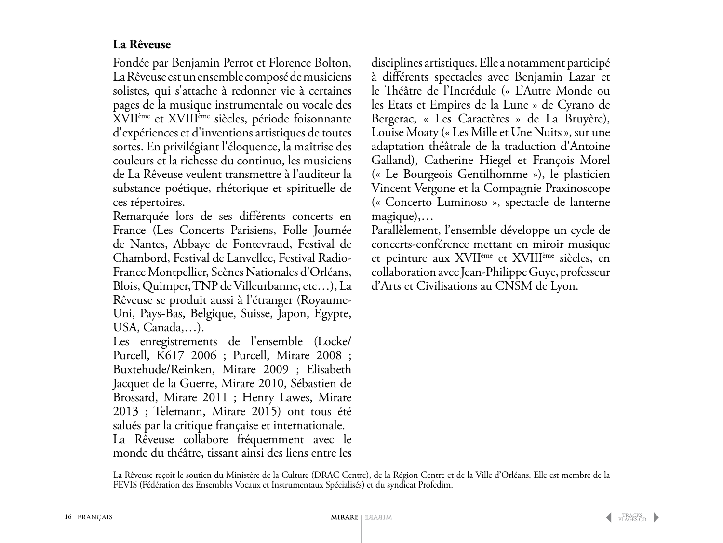### **La Rêveuse**

Fondée par Benjamin Perrot et Florence Bolton, La Rêveuse est un ensemble composé de musiciens solistes, qui s'attache à redonner vie à certaines pages de la musique instrumentale ou vocale des XVIIème et XVIIIème siècles, période foisonnante d'expériences et d'inventions artistiques de toutes sortes. En privilégiant l'éloquence, la maîtrise des couleurs et la richesse du continuo, les musiciens de La Rêveuse veulent transmettre à l'auditeur la substance poétique, rhétorique et spirituelle de ces répertoires.

Remarquée lors de ses différents concerts en France (Les Concerts Parisiens, Folle Journée de Nantes, Abbaye de Fontevraud, Festival de Chambord, Festival de Lanvellec, Festival Radio-France Montpellier, Scènes Nationales d'Orléans, Blois, Quimper, TNP de Villeurbanne, etc…), La Rêveuse se produit aussi à l'étranger (Royaume-Uni, Pays-Bas, Belgique, Suisse, Japon, Egypte, USA, Canada,…).

Les enregistrements de l'ensemble (Locke/ Purcell, K617 2006 ; Purcell, Mirare 2008 ; Buxtehude/Reinken, Mirare 2009 ; Elisabeth Jacquet de la Guerre, Mirare 2010, Sébastien de Brossard, Mirare 2011 ; Henry Lawes, Mirare 2013 ; Telemann, Mirare 2015) ont tous été salués par la critique française et internationale. La Rêveuse collabore fréquemment avec le monde du théâtre, tissant ainsi des liens entre les

disciplines artistiques. Elle a notamment participé à différents spectacles avec Benjamin Lazar et le Théâtre de l'Incrédule (« L'Autre Monde ou les Etats et Empires de la Lune » de Cyrano de Bergerac, « Les Caractères » de La Bruyère), Louise Moaty (« Les Mille et Une Nuits », sur une adaptation théâtrale de la traduction d'Antoine Galland), Catherine Hiegel et François Morel (« Le Bourgeois Gentilhomme »), le plasticien Vincent Vergone et la Compagnie Praxinoscope (« Concerto Luminoso », spectacle de lanterne magique),…

Parallèlement, l'ensemble développe un cycle de concerts-conférence mettant en miroir musique et peinture aux XVIIème et XVIIIème siècles, en collaboration avec Jean-Philippe Guye, professeur d'Arts et Civilisations au CNSM de Lyon.

La Rêveuse reçoit le soutien du Ministère de la Culture (DRAC Centre), de la Région Centre et de la Ville d'Orléans. Elle est membre de la FEVIS (Fédération des Ensembles Vocaux et Instrumentaux Spécialisés) et du syndicat Profedim.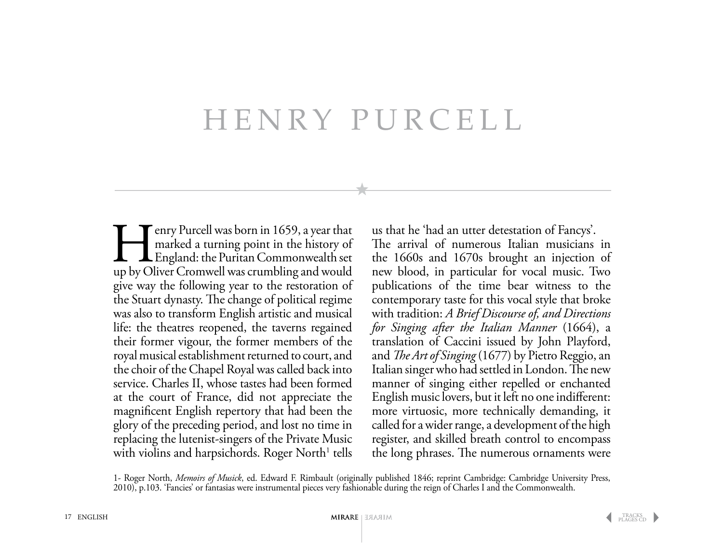# Henry Purcell

Emplement Commonwealth set up by Oliver Cromwell was crumbling and would marked a turning point in the history of England: the Puritan Commonwealth set up by Oliver Cromwell was crumbling and would give way the following year to the restoration of the Stuart dynasty. The change of political regime was also to transform English artistic and musical life: the theatres reopened, the taverns regained their former vigour, the former members of the royal musical establishment returned to court, and the choir of the Chapel Royal was called back into service. Charles II, whose tastes had been formed at the court of France, did not appreciate the magnificent English repertory that had been the glory of the preceding period, and lost no time in replacing the lutenist-singers of the Private Music with violins and harpsichords. Roger North<sup>1</sup> tells

us that he 'had an utter detestation of Fancys'.

The arrival of numerous Italian musicians in the 1660s and 1670s brought an injection of new blood, in particular for vocal music. Two publications of the time bear witness to the contemporary taste for this vocal style that broke with tradition: *A Brief Discourse of, and Directions for Singing after the Italian Manner* (1664), a translation of Caccini issued by John Playford, and *The Art of Singing* (1677) by Pietro Reggio, an Italian singer who had settled in London. The new manner of singing either repelled or enchanted English music lovers, but it left no one indifferent: more virtuosic, more technically demanding, it called for a wider range, a development of the high register, and skilled breath control to encompass the long phrases. The numerous ornaments were

1- Roger North, *Memoirs of Musick*, ed. Edward F. Rimbault (originally published 1846; reprint Cambridge: Cambridge University Press, 2010), p.103. 'Fancies' or fantasias were instrumental pieces very fashionable during the reign of Charles I and the Commonwealth.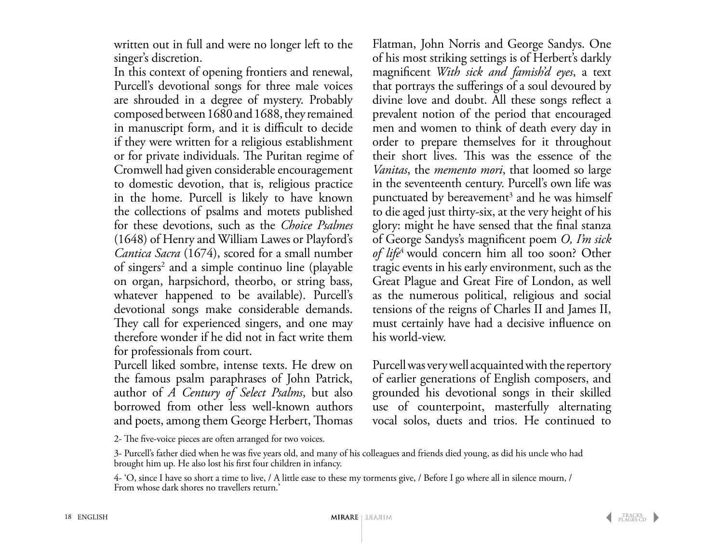written out in full and were no longer left to the singer's discretion.

In this context of opening frontiers and renewal, Purcell's devotional songs for three male voices are shrouded in a degree of mystery. Probably composed between 1680 and 1688, they remained in manuscript form, and it is difficult to decide if they were written for a religious establishment or for private individuals. The Puritan regime of Cromwell had given considerable encouragement to domestic devotion, that is, religious practice in the home. Purcell is likely to have known the collections of psalms and motets published for these devotions, such as the *Choice Psalmes* (1648) of Henry and William Lawes or Playford's *Cantica Sacra* (1674), scored for a small number of singers<sup>2</sup> and a simple continuo line (playable on organ, harpsichord, theorbo, or string bass, whatever happened to be available). Purcell's devotional songs make considerable demands. They call for experienced singers, and one may therefore wonder if he did not in fact write them for professionals from court.

Purcell liked sombre, intense texts. He drew on the famous psalm paraphrases of John Patrick, author of *A Century of Select Psalms*, but also borrowed from other less well-known authors and poets, among them George Herbert, Thomas

Flatman, John Norris and George Sandys. One of his most striking settings is of Herbert's darkly magnificent *With sick and famish'd eyes*, a text that portrays the sufferings of a soul devoured by divine love and doubt. All these songs reflect a prevalent notion of the period that encouraged men and women to think of death every day in order to prepare themselves for it throughout their short lives. This was the essence of the *Vanitas*, the *memento mori*, that loomed so large in the seventeenth century. Purcell's own life was punctuated by bereavement<sup>3</sup> and he was himself to die aged just thirty-six, at the very height of his glory: might he have sensed that the final stanza of George Sandys's magnificent poem *O, I'm sick of life*4 would concern him all too soon? Other tragic events in his early environment, such as the Great Plague and Great Fire of London, as well as the numerous political, religious and social tensions of the reigns of Charles II and James II, must certainly have had a decisive influence on his world-view.

Purcell was very well acquainted with the repertory of earlier generations of English composers, and grounded his devotional songs in their skilled use of counterpoint, masterfully alternating vocal solos, duets and trios. He continued to

2- The five-voice pieces are often arranged for two voices.

<sup>3-</sup> Purcell's father died when he was five years old, and many of his colleagues and friends died young, as did his uncle who had brought him up. He also lost his first four children in infancy.

<sup>4- &#</sup>x27;O, since I have so short a time to live, / A little ease to these my torments give, / Before I go where all in silence mourn, / From whose dark shores no travellers return.'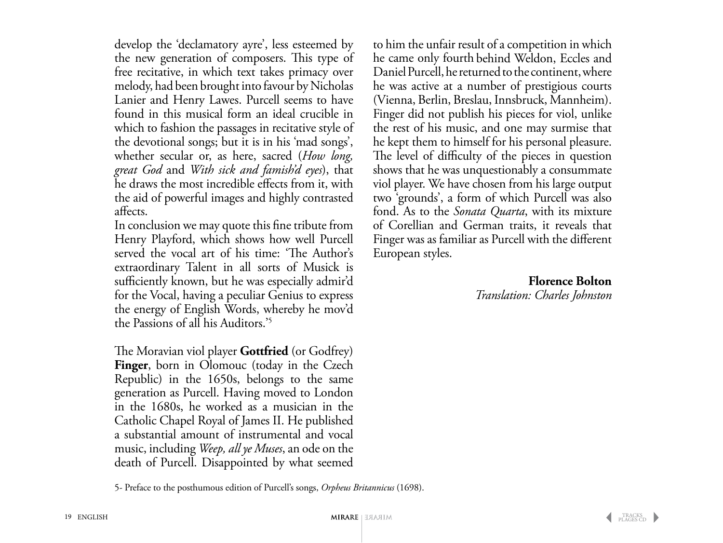develop the 'declamatory ayre', less esteemed by the new generation of composers. This type of free recitative, in which text takes primacy over melody, had been brought into favour by Nicholas Lanier and Henry Lawes. Purcell seems to have found in this musical form an ideal crucible in which to fashion the passages in recitative style of the devotional songs; but it is in his 'mad songs', whether secular or, as here, sacred (*How long, great God* and *With sick and famish'd eyes*), that he draws the most incredible effects from it, with the aid of powerful images and highly contrasted affects.

In conclusion we may quote this fine tribute from Henry Playford, which shows how well Purcell served the vocal art of his time: 'The Author's extraordinary Talent in all sorts of Musick is sufficiently known, but he was especially admir'd for the Vocal, having a peculiar Genius to express the energy of English Words, whereby he mov'd the Passions of all his Auditors.'5

The Moravian viol player **Gottfried** (or Godfrey) **Finger**, born in Olomouc (today in the Czech Republic) in the 1650s, belongs to the same generation as Purcell. Having moved to London in the 1680s, he worked as a musician in the Catholic Chapel Royal of James II. He published a substantial amount of instrumental and vocal music, including *Weep, all ye Muses*, an ode on the death of Purcell. Disappointed by what seemed to him the unfair result of a competition in which he came only fourth behind Weldon, Eccles and Daniel Purcell, he returned to the continent, where he was active at a number of prestigious courts (Vienna, Berlin, Breslau, Innsbruck, Mannheim). Finger did not publish his pieces for viol, unlike the rest of his music, and one may surmise that he kept them to himself for his personal pleasure. The level of difficulty of the pieces in question shows that he was unquestionably a consummate viol player. We have chosen from his large output two 'grounds', a form of which Purcell was also fond. As to the *Sonata Quarta*, with its mixture of Corellian and German traits, it reveals that Finger was as familiar as Purcell with the different European styles.

> **Florence Bolton** *Translation: Charles Johnston*

5- Preface to the posthumous edition of Purcell's songs, *Orpheus Britannicus* (1698).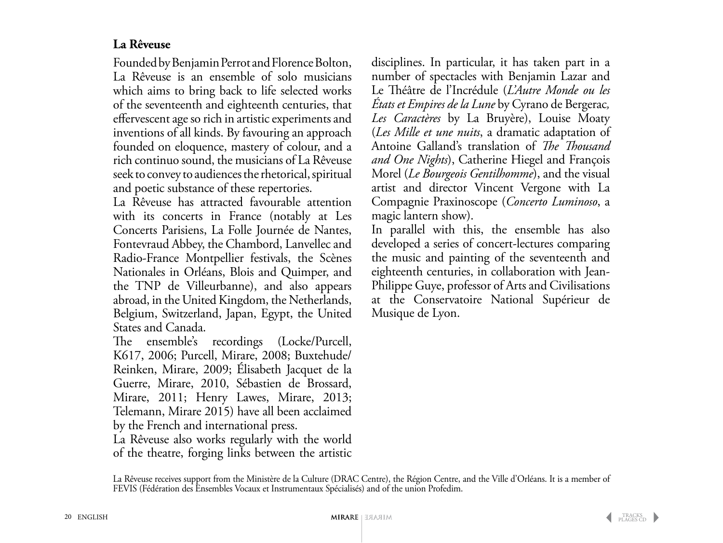### **La Rêveuse**

Founded by Benjamin Perrot and Florence Bolton, La Rêveuse is an ensemble of solo musicians which aims to bring back to life selected works of the seventeenth and eighteenth centuries, that effervescent age so rich in artistic experiments and inventions of all kinds. By favouring an approach founded on eloquence, mastery of colour, and a rich continuo sound, the musicians of La Rêveuse seek to convey to audiences the rhetorical, spiritual and poetic substance of these repertories.

La Rêveuse has attracted favourable attention with its concerts in France (notably at Les Concerts Parisiens, La Folle Journée de Nantes, Fontevraud Abbey, the Chambord, Lanvellec and Radio-France Montpellier festivals, the Scènes Nationales in Orléans, Blois and Quimper, and the TNP de Villeurbanne), and also appears abroad, in the United Kingdom, the Netherlands, Belgium, Switzerland, Japan, Egypt, the United States and Canada.

The ensemble's recordings (Locke/Purcell, K617, 2006; Purcell, Mirare, 2008; Buxtehude/ Reinken, Mirare, 2009; Élisabeth Jacquet de la Guerre, Mirare, 2010, Sébastien de Brossard, Mirare, 2011; Henry Lawes, Mirare, 2013; Telemann, Mirare 2015) have all been acclaimed by the French and international press.

La Rêveuse also works regularly with the world of the theatre, forging links between the artistic disciplines. In particular, it has taken part in a number of spectacles with Benjamin Lazar and Le Théâtre de l'Incrédule (*L'Autre Monde ou les États et Empires de la Lune* by Cyrano de Bergerac*, Les Caractères* by La Bruyère), Louise Moaty (*Les Mille et une nuits*, a dramatic adaptation of Antoine Galland's translation of *The Thousand and One Nights*), Catherine Hiegel and François Morel (*Le Bourgeois Gentilhomme*), and the visual artist and director Vincent Vergone with La Compagnie Praxinoscope (*Concerto Luminoso*, a magic lantern show).

In parallel with this, the ensemble has also developed a series of concert-lectures comparing the music and painting of the seventeenth and eighteenth centuries, in collaboration with Jean-Philippe Guye, professor of Arts and Civilisations at the Conservatoire National Supérieur de Musique de Lyon.

La Rêveuse receives support from the Ministère de la Culture (DRAC Centre), the Région Centre, and the Ville d'Orléans. It is a member of FEVIS (Fédération des Ensembles Vocaux et Instrumentaux Spécialisés) and of the union Profedim.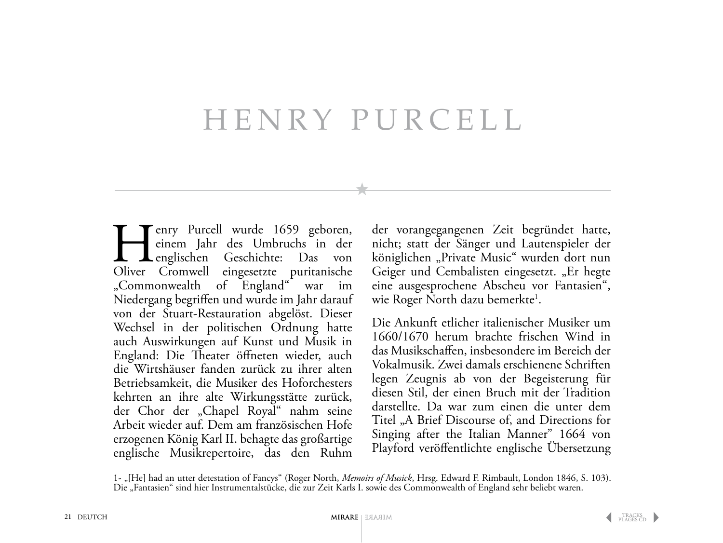# HENRY PURCELL

Europe Purcell wurde 1659 geboren,<br>
einem Jahr des Umbruchs in der<br>
englischen Geschichte: Das von<br>
Oliver Cromwell eingesetzte puritanische einem Jahr des Umbruchs in der englischen Geschichte: Das von Oliver Cromwell eingesetzte puritanische "Commonwealth of England" war im Niedergang begriffen und wurde im Jahr darauf von der Stuart-Restauration abgelöst. Dieser Wechsel in der politischen Ordnung hatte auch Auswirkungen auf Kunst und Musik in England: Die Theater öffneten wieder, auch die Wirtshäuser fanden zurück zu ihrer alten Betriebsamkeit, die Musiker des Hoforchesters kehrten an ihre alte Wirkungsstätte zurück, der Chor der "Chapel Royal" nahm seine Arbeit wieder auf. Dem am französischen Hofe erzogenen König Karl II. behagte das großartige englische Musikrepertoire, das den Ruhm

der vorangegangenen Zeit begründet hatte, nicht; statt der Sänger und Lautenspieler der königlichen "Private Music" wurden dort nun Geiger und Cembalisten eingesetzt. "Er hegte eine ausgesprochene Abscheu vor Fantasien", wie Roger North dazu bemerkte<sup>1</sup>.

Die Ankunft etlicher italienischer Musiker um 1660/1670 herum brachte frischen Wind in das Musikschaffen, insbesondere im Bereich der Vokalmusik. Zwei damals erschienene Schriften legen Zeugnis ab von der Begeisterung für diesen Stil, der einen Bruch mit der Tradition darstellte. Da war zum einen die unter dem Titel , A Brief Discourse of, and Directions for Singing after the Italian Manner" 1664 von Playford veröffentlichte englische Übersetzung

1- "[He] had an utter detestation of Fancys" (Roger North, *Memoirs of Musick*, Hrsg. Edward F. Rimbault, London 1846, S. 103). Die "Fantasien" sind hier Instrumentalstücke, die zur Zeit Karls I. sowie des Commonwealth of England sehr beliebt waren.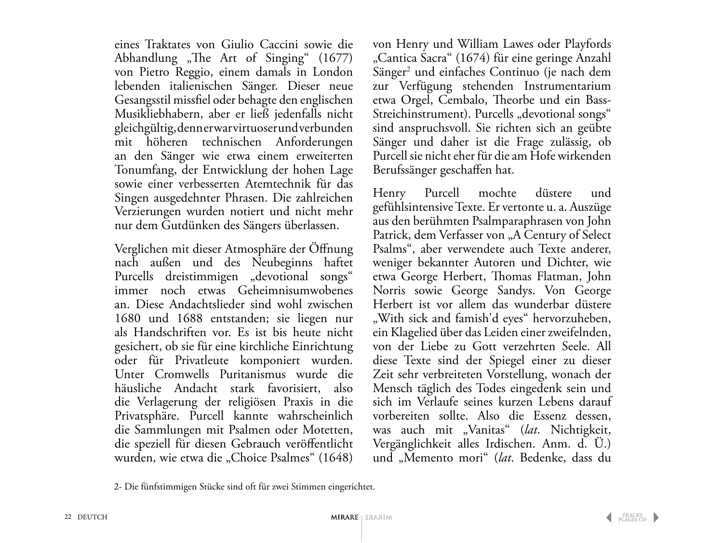eines Traktates von Giulio Caccini sowie die Abhandlung "The Art of Singing"  $(1677)$ von Pietro Reggio, einem damals in London lebenden italienischen Sänger. Dieser neue Gesangsstil missfiel oder behagte den englischen Musikliebhabern, aber er ließ jedenfalls nicht gleichgültig, denn er war virtuoser und verbunden mit höheren technischen Anforderungen an den Sänger wie etwa einem erweiterten Tonumfang, der Entwicklung der hohen Lage sowie einer verbesserten Atemtechnik für das Singen ausgedehnter Phrasen. Die zahlreichen Verzierungen wurden notiert und nicht mehr nur dem Gutdünken des Sängers überlassen.

Verglichen mit dieser Atmosphäre der Öffnung nach außen und des Neubeginns haftet Purcells dreistimmigen "devotional songs" immer noch etwas Geheimnisumwobenes an. Diese Andachtslieder sind wohl zwischen 1680 und 1688 entstanden; sie liegen nur als Handschriften vor. Es ist bis heute nicht gesichert, ob sie für eine kirchliche Einrichtung oder für Privatleute komponiert wurden. Unter Cromwells Puritanismus wurde die häusliche Andacht stark favorisiert, also die Verlagerung der religiösen Praxis in die Privatsphäre. Purcell kannte wahrscheinlich die Sammlungen mit Psalmen oder Motetten, die speziell für diesen Gebrauch veröffentlicht wurden, wie etwa die "Choice Psalmes" (1648) von Henry und William Lawes oder Playfords "Cantica Sacra" (1674) für eine geringe Anzahl Sänger2 und einfaches Continuo (je nach dem zur Verfügung stehenden Instrumentarium etwa Orgel, Cembalo, Theorbe und ein Bass-Streichinstrument). Purcells "devotional songs" sind anspruchsvoll. Sie richten sich an geübte Sänger und daher ist die Frage zulässig, ob Purcell sie nicht eher für die am Hofe wirkenden Berufssänger geschaffen hat.

Henry Purcell mochte düstere und gefühlsintensive Texte. Er vertonte u. a. Auszüge aus den berühmten Psalmparaphrasen von John Patrick, dem Verfasser von "A Century of Select Psalms", aber verwendete auch Texte anderer, weniger bekannter Autoren und Dichter, wie etwa George Herbert, Thomas Flatman, John Norris sowie George Sandys. Von George Herbert ist vor allem das wunderbar düstere "With sick and famish'd eyes" hervorzuheben, ein Klagelied über das Leiden einer zweifelnden, von der Liebe zu Gott verzehrten Seele. All diese Texte sind der Spiegel einer zu dieser Zeit sehr verbreiteten Vorstellung, wonach der Mensch täglich des Todes eingedenk sein und sich im Verlaufe seines kurzen Lebens darauf vorbereiten sollte. Also die Essenz dessen, was auch mit "Vanitas" (lat. Nichtigkeit, Vergänglichkeit alles Irdischen. Anm. d. Ü.) und "Memento mori" (*lat*. Bedenke, dass du

2- Die fünfstimmigen Stücke sind oft für zwei Stimmen eingerichtet.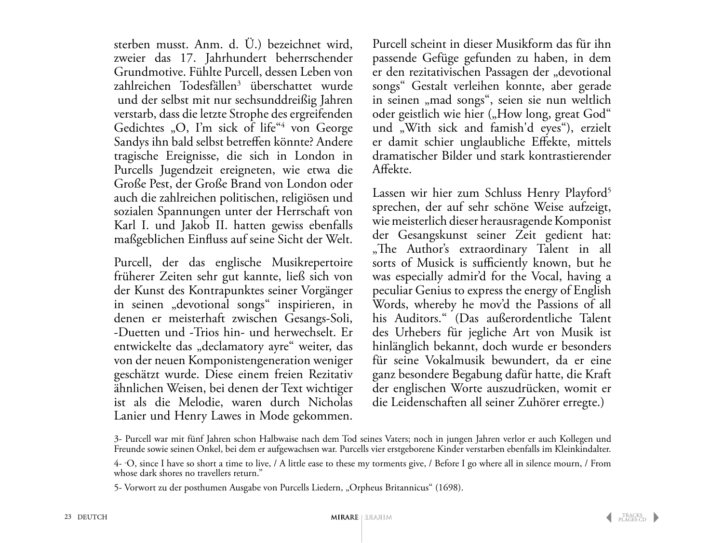sterben musst. Anm. d. Ü.) bezeichnet wird, zweier das 17. Jahrhundert beherrschender Grundmotive. Fühlte Purcell, dessen Leben von zahlreichen Todesfällen<sup>3</sup> überschattet wurde und der selbst mit nur sechsunddreißig Jahren verstarb, dass die letzte Strophe des ergreifenden Gedichtes "O, I'm sick of life"<sup>4</sup> von George Sandys ihn bald selbst betreffen könnte? Andere tragische Ereignisse, die sich in London in Purcells Jugendzeit ereigneten, wie etwa die Große Pest, der Große Brand von London oder auch die zahlreichen politischen, religiösen und sozialen Spannungen unter der Herrschaft von Karl I. und Jakob II. hatten gewiss ebenfalls maßgeblichen Einfluss auf seine Sicht der Welt.

Purcell, der das englische Musikrepertoire früherer Zeiten sehr gut kannte, ließ sich von der Kunst des Kontrapunktes seiner Vorgänger in seinen "devotional songs" inspirieren, in denen er meisterhaft zwischen Gesangs-Soli, -Duetten und -Trios hin- und herwechselt. Er entwickelte das "declamatory ayre" weiter, das von der neuen Komponistengeneration weniger geschätzt wurde. Diese einem freien Rezitativ ähnlichen Weisen, bei denen der Text wichtiger ist als die Melodie, waren durch Nicholas Lanier und Henry Lawes in Mode gekommen.

Purcell scheint in dieser Musikform das für ihn passende Gefüge gefunden zu haben, in dem er den rezitativischen Passagen der "devotional songs" Gestalt verleihen konnte, aber gerade in seinen "mad songs", seien sie nun weltlich oder geistlich wie hier ("How long, great God" und "With sick and famish'd eyes"), erzielt er damit schier unglaubliche Effekte, mittels dramatischer Bilder und stark kontrastierender Affekte.

Lassen wir hier zum Schluss Henry Playford<sup>5</sup> sprechen, der auf sehr schöne Weise aufzeigt, wie meisterlich dieser herausragende Komponist der Gesangskunst seiner Zeit gedient hat: "The Author's extraordinary Talent in all sorts of Musick is sufficiently known, but he was especially admir'd for the Vocal, having a peculiar Genius to express the energy of English Words, whereby he mov'd the Passions of all his Auditors." (Das außerordentliche Talent des Urhebers für jegliche Art von Musik ist hinlänglich bekannt, doch wurde er besonders für seine Vokalmusik bewundert, da er eine ganz besondere Begabung dafür hatte, die Kraft der englischen Worte auszudrücken, womit er die Leidenschaften all seiner Zuhörer erregte.)

<sup>3-</sup> Purcell war mit fünf Jahren schon Halbwaise nach dem Tod seines Vaters; noch in jungen Jahren verlor er auch Kollegen und Freunde sowie seinen Onkel, bei dem er aufgewachsen war. Purcells vier erstgeborene Kinder verstarben ebenfalls im Kleinkindalter.

<sup>4- &</sup>quot; O, since I have so short a time to live, / A little ease to these my torments give, / Before I go where all in silence mourn, / From whose dark shores no travellers return."

<sup>5-</sup> Vorwort zu der posthumen Ausgabe von Purcells Liedern, "Orpheus Britannicus" (1698).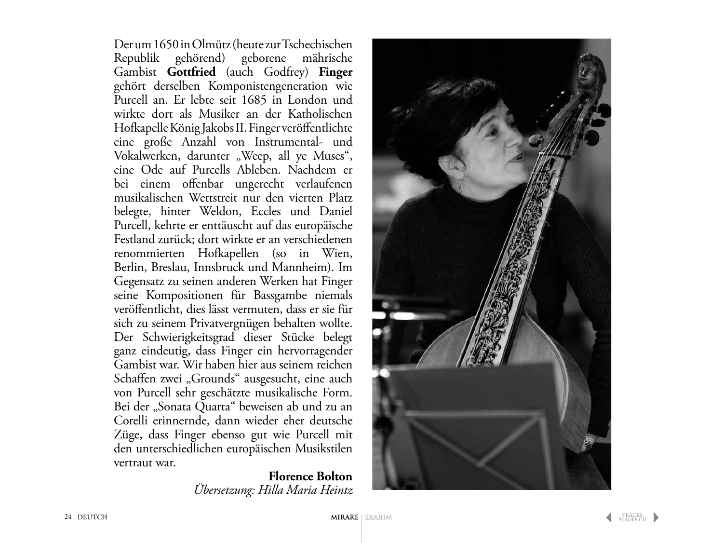Der um 1650 in Olmütz (heute zur Tschechischen Republik gehörend) geborene mährische Gambist **Gottfried** (auch Godfrey) **Finger** gehört derselben Komponistengeneration wie Purcell an. Er lebte seit 1685 in London und wirkte dort als Musiker an der Katholischen Hofkapelle König Jakobs II. Finger veröffentlichte eine große Anzahl von Instrumental- und Vokalwerken, darunter "Weep, all ye Muses", eine Ode auf Purcells Ableben. Nachdem er bei einem offenbar ungerecht verlaufenen musikalischen Wettstreit nur den vierten Platz belegte, hinter Weldon, Eccles und Daniel Purcell, kehrte er enttäuscht auf das europäische Festland zurück; dort wirkte er an verschiedenen renommierten Hofkapellen (so in Wien, Berlin, Breslau, Innsbruck und Mannheim). Im Gegensatz zu seinen anderen Werken hat Finger seine Kompositionen für Bassgambe niemals veröffentlicht, dies lässt vermuten, dass er sie für sich zu seinem Privatvergnügen behalten wollte. Der Schwierigkeitsgrad dieser Stücke belegt ganz eindeutig, dass Finger ein hervorragender Gambist war. Wir haben hier aus seinem reichen Schaffen zwei "Grounds" ausgesucht, eine auch von Purcell sehr geschätzte musikalische Form. Bei der "Sonata Quarta" beweisen ab und zu an Corelli erinnernde, dann wieder eher deutsche Züge, dass Finger ebenso gut wie Purcell mit den unterschiedlichen europäischen Musikstilen vertraut war.

> **Florence Bolton** *Übersetzung: Hilla Maria Heintz*

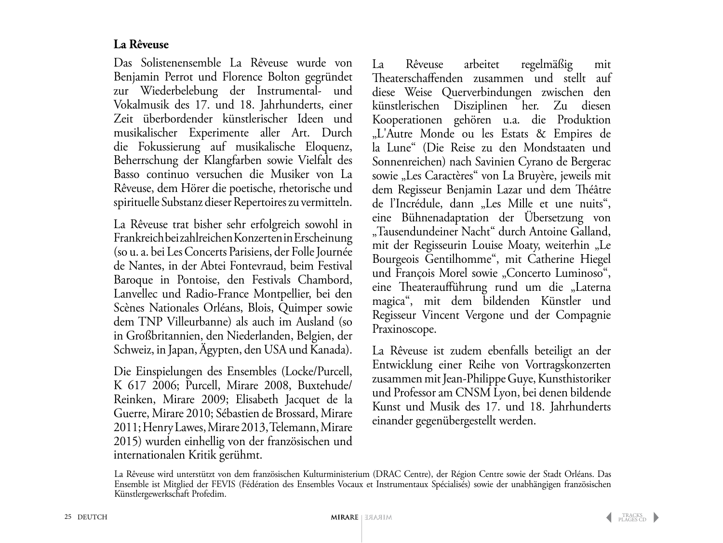### **La Rêveuse**

Das Solistenensemble La Rêveuse wurde von Benjamin Perrot und Florence Bolton gegründet zur Wiederbelebung der Instrumental- und Vokalmusik des 17. und 18. Jahrhunderts, einer Zeit überbordender künstlerischer Ideen und musikalischer Experimente aller Art. Durch die Fokussierung auf musikalische Eloquenz, Beherrschung der Klangfarben sowie Vielfalt des Basso continuo versuchen die Musiker von La Rêveuse, dem Hörer die poetische, rhetorische und spirituelle Substanz dieser Repertoires zu vermitteln.

La Rêveuse trat bisher sehr erfolgreich sowohl in Frankreich bei zahlreichen Konzerten in Erscheinung (so u. a. bei Les Concerts Parisiens, der Folle Journée de Nantes, in der Abtei Fontevraud, beim Festival Baroque in Pontoise, den Festivals Chambord, Lanvellec und Radio-France Montpellier, bei den Scènes Nationales Orléans, Blois, Quimper sowie dem TNP Villeurbanne) als auch im Ausland (so in Großbritannien, den Niederlanden, Belgien, der Schweiz, in Japan, Ägypten, den USA und Kanada).

Die Einspielungen des Ensembles (Locke/Purcell, K 617 2006; Purcell, Mirare 2008, Buxtehude/ Reinken, Mirare 2009; Elisabeth Jacquet de la Guerre, Mirare 2010; Sébastien de Brossard, Mirare 2011; Henry Lawes, Mirare 2013, Telemann, Mirare 2015) wurden einhellig von der französischen und internationalen Kritik gerühmt.

La Rêveuse arbeitet regelmäßig mit Theaterschaffenden zusammen und stellt auf diese Weise Querverbindungen zwischen den künstlerischen Disziplinen her. Zu diesen Kooperationen gehören u.a. die Produktion "L'Autre Monde ou les Estats & Empires de la Lune" (Die Reise zu den Mondstaaten und Sonnenreichen) nach Savinien Cyrano de Bergerac sowie "Les Caractères" von La Bruyère, jeweils mit dem Regisseur Benjamin Lazar und dem Théâtre de l'Incrédule, dann "Les Mille et une nuits", eine Bühnenadaptation der Übersetzung von "Tausendundeiner Nacht" durch Antoine Galland, mit der Regisseurin Louise Moaty, weiterhin "Le Bourgeois Gentilhomme", mit Catherine Hiegel und François Morel sowie "Concerto Luminoso", eine Theateraufführung rund um die "Laterna magica", mit dem bildenden Künstler und Regisseur Vincent Vergone und der Compagnie Praxinoscope.

La Rêveuse ist zudem ebenfalls beteiligt an der Entwicklung einer Reihe von Vortragskonzerten zusammen mit Jean-Philippe Guye, Kunsthistoriker und Professor am CNSM Lyon, bei denen bildende Kunst und Musik des 17. und 18. Jahrhunderts einander gegenübergestellt werden.

La Rêveuse wird unterstützt von dem französischen Kulturministerium (DRAC Centre), der Région Centre sowie der Stadt Orléans. Das Ensemble ist Mitglied der FEVIS (Fédération des Ensembles Vocaux et Instrumentaux Spécialisés) sowie der unabhängigen französischen Künstlergewerkschaft Profedim.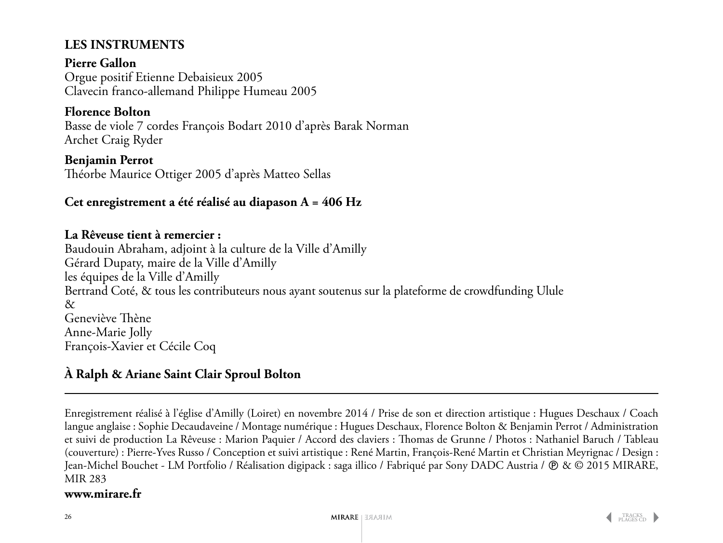### **Les instruments**

**Pierre Gallon** Orgue positif Etienne Debaisieux 2005 Clavecin franco-allemand Philippe Humeau 2005

### **Florence Bolton**

Basse de viole 7 cordes François Bodart 2010 d'après Barak Norman Archet Craig Ryder

**Benjamin Perrot** Théorbe Maurice Ottiger 2005 d'après Matteo Sellas

### **Cet enregistrement a été réalisé au diapason A = 406 Hz**

### **La Rêveuse tient à remercier :**

Baudouin Abraham, adjoint à la culture de la Ville d'Amilly Gérard Dupaty, maire de la Ville d'Amilly les équipes de la Ville d'Amilly Bertrand Coté, & tous les contributeurs nous ayant soutenus sur la plateforme de crowdfunding Ulule & Geneviève Thène Anne-Marie Jolly François-Xavier et Cécile Coq

### **À Ralph & Ariane Saint Clair Sproul Bolton**

Enregistrement réalisé à l'église d'Amilly (Loiret) en novembre 2014 / Prise de son et direction artistique : Hugues Deschaux / Coach langue anglaise : Sophie Decaudaveine / Montage numérique : Hugues Deschaux, Florence Bolton & Benjamin Perrot / Administration et suivi de production La Rêveuse : Marion Paquier / Accord des claviers : Thomas de Grunne / Photos : Nathaniel Baruch / Tableau (couverture) : Pierre-Yves Russo / Conception et suivi artistique : René Martin, François-René Martin et Christian Meyrignac / Design : Jean-Michel Bouchet - LM Portfolio / Réalisation digipack : saga illico / Fabriqué par Sony DADC Austria /  $\circledR \& \circledR$  2015 MIRARE, MIR 283

### **www.mirare.fr**